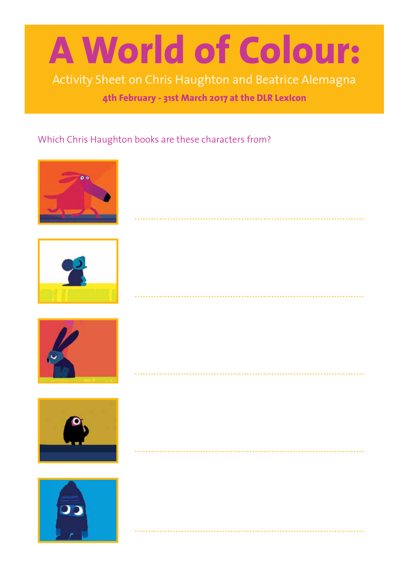# **A World of Colour:**

Activity Sheet on Chris Haughton and Beatrice Alemagna

**4th February - 31st March 2017 at the DLR LexIcon**

. . . . . . . . . . . . . . .

### Which Chris Haughton books are these characters from?









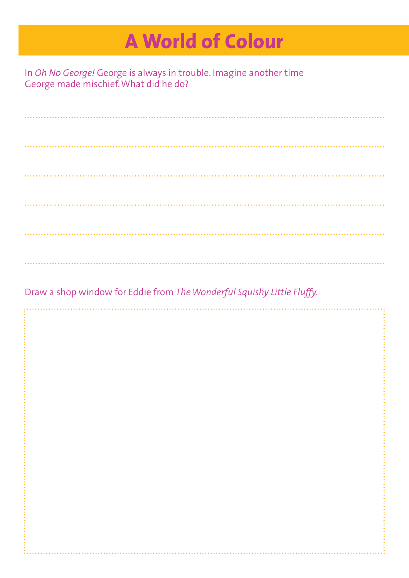### **A World of Colour**

In *Oh No George!* George is always in trouble. Imagine another time George made mischief. What did he do?

Draw a shop window for Eddie from *The Wonderful Squishy Little Fluffy.*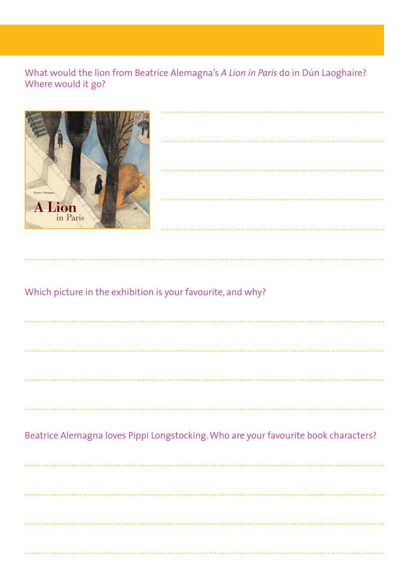### What would the lion from Beatrice Alemagna's A Lion in Paris do in Dún Laoghaire? Where would it go?



| $\bullet$ |  |  |
|-----------|--|--|
|           |  |  |
| $\bullet$ |  |  |
|           |  |  |
| $\bullet$ |  |  |
|           |  |  |

Which picture in the exhibition is your favourite, and why?

Beatrice Alemagna loves Pippi Longstocking. Who are your favourite book characters?